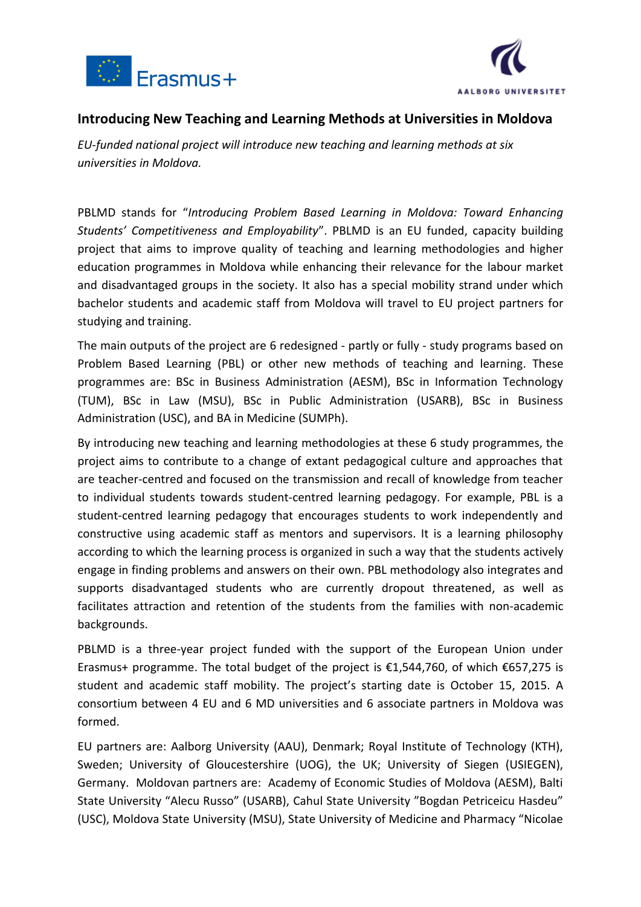



## **Introducing New Teaching and Learning Methods at Universities in Moldova**

*EU-funded national project will introduce new teaching and learning methods at six universities in Moldova.*

PBLMD stands for "*Introducing Problem Based Learning in Moldova: Toward Enhancing Students' Competitiveness and Employability*". PBLMD is an EU funded, capacity building project that aims to improve quality of teaching and learning methodologies and higher education programmes in Moldova while enhancing their relevance for the labour market and disadvantaged groups in the society. It also has a special mobility strand under which bachelor students and academic staff from Moldova will travel to EU project partners for studying and training.

The main outputs of the project are 6 redesigned - partly or fully - study programs based on Problem Based Learning (PBL) or other new methods of teaching and learning. These programmes are: BSc in Business Administration (AESM), BSc in Information Technology (TUM), BSc in Law (MSU), BSc in Public Administration (USARB), BSc in Business Administration (USC), and BA in Medicine (SUMPh).

By introducing new teaching and learning methodologies at these 6 study programmes, the project aims to contribute to a change of extant pedagogical culture and approaches that are teacher-centred and focused on the transmission and recall of knowledge from teacher to individual students towards student-centred learning pedagogy. For example, PBL is a student-centred learning pedagogy that encourages students to work independently and constructive using academic staff as mentors and supervisors. It is a learning philosophy according to which the learning process is organized in such a way that the students actively engage in finding problems and answers on their own. PBL methodology also integrates and supports disadvantaged students who are currently dropout threatened, as well as facilitates attraction and retention of the students from the families with non-academic backgrounds.

PBLMD is a three-year project funded with the support of the European Union under Erasmus+ programme. The total budget of the project is €1,544,760, of which €657,275 is student and academic staff mobility. The project's starting date is October 15, 2015. A consortium between 4 EU and 6 MD universities and 6 associate partners in Moldova was formed.

EU partners are: Aalborg University (AAU), Denmark; Royal Institute of Technology (KTH), Sweden; University of Gloucestershire (UOG), the UK; University of Siegen (USIEGEN), Germany. Moldovan partners are: Academy of Economic Studies of Moldova (AESM), Balti State University "Alecu Russo" (USARB), Cahul State University "Bogdan Petriceicu Hasdeu" (USC), Moldova State University (MSU), State University of Medicine and Pharmacy "Nicolae